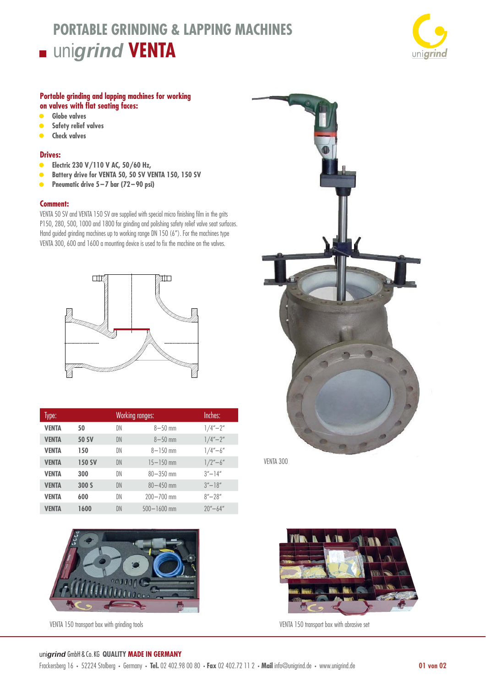# **PORTABLE GRINDING & LAPPING MACHINES** uni*grind* **VENTA**



### **Portable grinding and lapping machines for working on valves with flat seating faces:**

- **• Globe valves**
- **• Safety relief valves**
- **• Check valves**

## **Drives:**

- **• Electric 230 V/110 V AC, 50/60 Hz,**
- **• Battery drive for VENTA 50, 50 SV VENTA 150, 150 SV**
- **• Pneumatic drive 5 7 bar (72 90 psi)**

#### **Comment:**

VENTA 50 SV and VENTA 150 SV are supplied with special micro finishing film in the grits P150, 280, 500, 1000 and 1800 for grinding and polishing safety relief valve seat surfaces. Hand guided grinding machines up to working range DN 150 (6"). For the machines type VENTA 300, 600 and 1600 a mounting device is used to fix the machine on the valves.



| Type:        |               |    | <b>Working ranges:</b> | Inches:                                 |
|--------------|---------------|----|------------------------|-----------------------------------------|
| <b>VENTA</b> | 50            | DN | $8 - 50$ mm            | $1/4 - 2''$                             |
| VENTA        | <b>50 SV</b>  | DN | $8 - 50$ mm            | $1/4'' - 2''$                           |
| VENTA        | 150           | DN | $8 - 150$ mm           | $1/4 - 6''$                             |
| <b>VENTA</b> | <b>150 SV</b> | DN | $15 - 150$ mm          | $1/2 - 6''$                             |
| VENTA        | 300           | DN | $80 - 350$ mm          | $3'' - 14''$                            |
| <b>VENTA</b> | 300 S         | DN | $80 - 450$ mm          | $3'' - 18''$                            |
| <b>VENTA</b> | 600           | DN | $200 - 700$ mm         | $8'' - 28''$                            |
| VENTA        | 1600          | DN | $500 - 1600$ mm        | $20^{\prime\prime} - 64^{\prime\prime}$ |





VENTA 300



VENTA 150 transport box with grinding tools versus versus versus versus versus versus versus versus versus versus versus versus versus versus versus versus versus versus versus versus versus versus versus versus versus ver

#### uni*grind* GmbH & Co. KG **QUALITY MADE IN GERMANY**